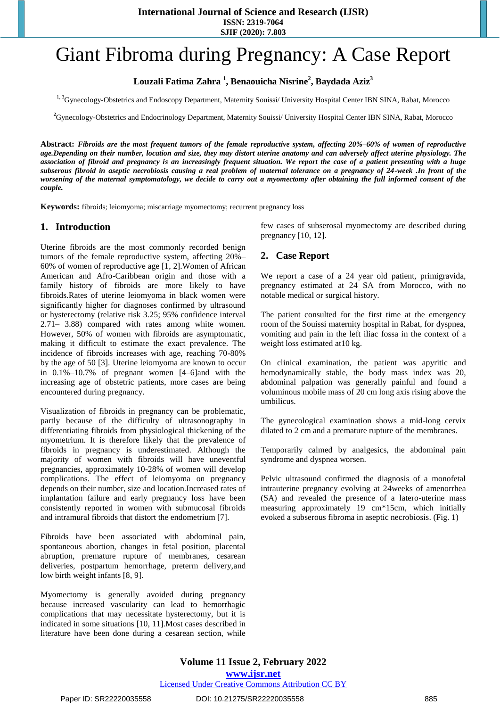**International Journal of Science and Research (IJSR)**

**ISSN: 2319-7064 SJIF (2020): 7.803**

# Giant Fibroma during Pregnancy: A Case Report

**Louzali Fatima Zahra <sup>1</sup> , Benaouicha Nisrine<sup>2</sup> , Baydada Aziz<sup>3</sup>**

<sup>1, 3</sup>Gynecology-Obstetrics and Endoscopy Department, Maternity Souissi/ University Hospital Center IBN SINA, Rabat, Morocco

**<sup>2</sup>**Gynecology-Obstetrics and Endocrinology Department, Maternity Souissi/ University Hospital Center IBN SINA, Rabat, Morocco

**Abstract:** *Fibroids are the most frequent tumors of the female reproductive system, affecting 20%–60% of women of reproductive age.Depending on their number, location and size, they may distort uterine anatomy and can adversely affect uterine physiology. The association of fibroid and pregnancy is an increasingly frequent situation. We report the case of a patient presenting with a huge subserous fibroid in aseptic necrobiosis causing a real problem of maternal tolerance on a pregnancy of 24-week .In front of the worsening of the maternal symptomatology, we decide to carry out a myomectomy after obtaining the full informed consent of the couple.*

**Keywords:** fibroids; leiomyoma; miscarriage myomectomy; recurrent pregnancy loss

#### **1. Introduction**

Uterine fibroids are the most commonly recorded benign tumors of the female reproductive system, affecting 20%– 60% of women of reproductive age [1, 2].Women of African American and Afro-Caribbean origin and those with a family history of fibroids are more likely to have fibroids.Rates of uterine leiomyoma in black women were significantly higher for diagnoses confirmed by ultrasound or hysterectomy (relative risk 3.25; 95% confidence interval 2.71– 3.88) compared with rates among white women. However, 50% of women with fibroids are asymptomatic, making it difficult to estimate the exact prevalence. The incidence of fibroids increases with age, reaching 70-80% by the age of 50 [3]. Uterine leiomyoma are known to occur in 0.1%–10.7% of pregnant women [4–6]and with the increasing age of obstetric patients, more cases are being encountered during pregnancy.

Visualization of fibroids in pregnancy can be problematic, partly because of the difficulty of ultrasonography in differentiating fibroids from physiological thickening of the myometrium. It is therefore likely that the prevalence of fibroids in pregnancy is underestimated. Although the majority of women with fibroids will have uneventful pregnancies, approximately 10-28% of women will develop complications. The effect of leiomyoma on pregnancy depends on their number, size and location.Increased rates of implantation failure and early pregnancy loss have been consistently reported in women with submucosal fibroids and intramural fibroids that distort the endometrium [7].

Fibroids have been associated with abdominal pain, spontaneous abortion, changes in fetal position, placental abruption, premature rupture of membranes, cesarean deliveries, postpartum hemorrhage, preterm delivery,and low birth weight infants [8, 9].

Myomectomy is generally avoided during pregnancy because increased vascularity can lead to hemorrhagic complications that may necessitate hysterectomy, but it is indicated in some situations [10, 11].Most cases described in literature have been done during a cesarean section, while few cases of subserosal myomectomy are described during pregnancy [10, 12].

## **2. Case Report**

We report a case of a 24 year old patient, primigravida, pregnancy estimated at 24 SA from Morocco, with no notable medical or surgical history.

The patient consulted for the first time at the emergency room of the Souissi maternity hospital in Rabat, for dyspnea, vomiting and pain in the left iliac fossa in the context of a weight loss estimated at10 kg.

On clinical examination, the patient was apyritic and hemodynamically stable, the body mass index was 20, abdominal palpation was generally painful and found a voluminous mobile mass of 20 cm long axis rising above the umbilicus.

The gynecological examination shows a mid-long cervix dilated to 2 cm and a premature rupture of the membranes.

Temporarily calmed by analgesics, the abdominal pain syndrome and dyspnea worsen.

Pelvic ultrasound confirmed the diagnosis of a monofetal intrauterine pregnancy evolving at 24weeks of amenorrhea (SA) and revealed the presence of a latero-uterine mass measuring approximately 19 cm\*15cm, which initially evoked a subserous fibroma in aseptic necrobiosis. (Fig. 1)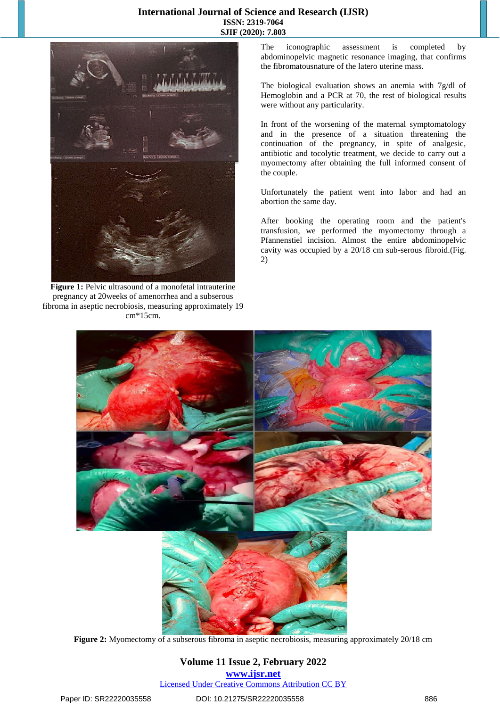### **International Journal of Science and Research (IJSR) ISSN: 2319-7064 SJIF (2020): 7.803**



Figure 1: Pelvic ultrasound of a monofetal intrauterine pregnancy at 20weeks of amenorrhea and a subserous fibroma in aseptic necrobiosis, measuring approximately 19 cm\*15cm.

The iconographic assessment is completed by abdominopelvic magnetic resonance imaging, that confirms the fibromatousnature of the latero uterine mass.

The biological evaluation shows an anemia with 7g/dl of Hemoglobin and a PCR at 70, the rest of biological results were without any particularity.

In front of the worsening of the maternal symptomatology and in the presence of a situation threatening the continuation of the pregnancy, in spite of analgesic, antibiotic and tocolytic treatment, we decide to carry out a myomectomy after obtaining the full informed consent of the couple.

Unfortunately the patient went into labor and had an abortion the same day.

After booking the operating room and the patient's transfusion, we performed the myomectomy through a Pfannenstiel incision. Almost the entire abdominopelvic cavity was occupied by a 20/18 cm sub-serous fibroid.(Fig. 2)



**Figure 2:** Myomectomy of a subserous fibroma in aseptic necrobiosis, measuring approximately 20/18 cm

#### **Volume 11 Issue 2, February 2022 www.ijsr.net** Licensed Under Creative Commons Attribution CC BY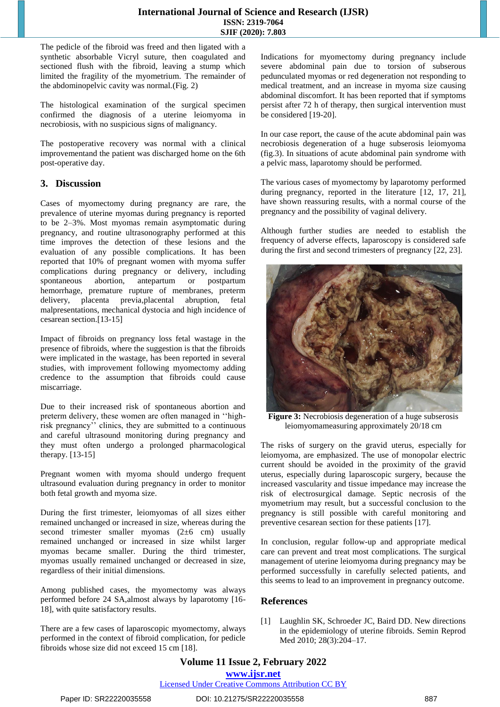The pedicle of the fibroid was freed and then ligated with a synthetic absorbable Vicryl suture, then coagulated and sectioned flush with the fibroid, leaving a stump which limited the fragility of the myometrium. The remainder of the abdominopelvic cavity was normal.(Fig. 2)

The histological examination of the surgical specimen confirmed the diagnosis of a uterine leiomyoma in necrobiosis, with no suspicious signs of malignancy.

The postoperative recovery was normal with a clinical improvementand the patient was discharged home on the 6th post-operative day.

## **3. Discussion**

Cases of myomectomy during pregnancy are rare, the prevalence of uterine myomas during pregnancy is reported to be 2–3%. Most myomas remain asymptomatic during pregnancy, and routine ultrasonography performed at this time improves the detection of these lesions and the evaluation of any possible complications. It has been reported that 10% of pregnant women with myoma suffer complications during pregnancy or delivery, including spontaneous abortion, antepartum or postpartum hemorrhage, premature rupture of membranes, preterm delivery, placenta previa,placental abruption, fetal malpresentations, mechanical dystocia and high incidence of cesarean section.[13-15]

Impact of fibroids on pregnancy loss fetal wastage in the presence of fibroids, where the suggestion is that the fibroids were implicated in the wastage, has been reported in several studies, with improvement following myomectomy adding credence to the assumption that fibroids could cause miscarriage.

Due to their increased risk of spontaneous abortion and preterm delivery, these women are often managed in ''highrisk pregnancy'' clinics, they are submitted to a continuous and careful ultrasound monitoring during pregnancy and they must often undergo a prolonged pharmacological therapy. [13-15]

Pregnant women with myoma should undergo frequent ultrasound evaluation during pregnancy in order to monitor both fetal growth and myoma size.

During the first trimester, leiomyomas of all sizes either remained unchanged or increased in size, whereas during the second trimester smaller myomas (2±6 cm) usually remained unchanged or increased in size whilst larger myomas became smaller. During the third trimester, myomas usually remained unchanged or decreased in size, regardless of their initial dimensions.

Among published cases, the myomectomy was always performed before 24 SA,almost always by laparotomy [16- 18], with quite satisfactory results.

There are a few cases of laparoscopic myomectomy, always performed in the context of fibroid complication, for pedicle fibroids whose size did not exceed 15 cm [18].

Indications for myomectomy during pregnancy include severe abdominal pain due to torsion of subserous pedunculated myomas or red degeneration not responding to medical treatment, and an increase in myoma size causing abdominal discomfort. It has been reported that if symptoms persist after 72 h of therapy, then surgical intervention must be considered [19-20].

In our case report, the cause of the acute abdominal pain was necrobiosis degeneration of a huge subserosis leiomyoma (fig.3). In situations of acute abdominal pain syndrome with a pelvic mass, laparotomy should be performed.

The various cases of myomectomy by laparotomy performed during pregnancy, reported in the literature [12, 17, 21], have shown reassuring results, with a normal course of the pregnancy and the possibility of vaginal delivery.

Although further studies are needed to establish the frequency of adverse effects, laparoscopy is considered safe during the first and second trimesters of pregnancy [22, 23].



**Figure 3:** Necrobiosis degeneration of a huge subserosis leiomyomameasuring approximately 20/18 cm

The risks of surgery on the gravid uterus, especially for leiomyoma, are emphasized. The use of monopolar electric current should be avoided in the proximity of the gravid uterus, especially during laparoscopic surgery, because the increased vascularity and tissue impedance may increase the risk of electrosurgical damage. Septic necrosis of the myometrium may result, but a successful conclusion to the pregnancy is still possible with careful monitoring and preventive cesarean section for these patients [17].

In conclusion, regular follow-up and appropriate medical care can prevent and treat most complications. The surgical management of uterine leiomyoma during pregnancy may be performed successfully in carefully selected patients, and this seems to lead to an improvement in pregnancy outcome.

## **References**

[1] Laughlin SK, Schroeder JC, Baird DD. New directions in the epidemiology of uterine fibroids. Semin Reprod Med 2010; 28(3):204–17.

Licensed Under Creative Commons Attribution CC BY